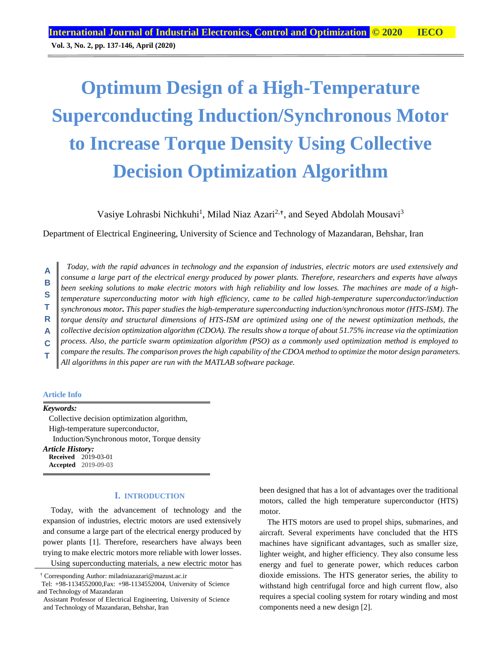# **Optimum Design of a High-Temperature Superconducting Induction/Synchronous Motor to Increase Torque Density Using Collective Decision Optimization Algorithm**

Vasiye Lohrasbi Nichkuhi<sup>1</sup>, Milad Niaz Azari<sup>2,†</sup>, and Seyed Abdolah Mousavi<sup>3</sup>

Department of Electrical Engineering, University of Science and Technology of Mazandaran, Behshar, Iran

*Today, with the rapid advances in technology and the expansion of industries, electric motors are used extensively and consume a large part of the electrical energy produced by power plants. Therefore, researchers and experts have always been seeking solutions to make electric motors with high reliability and low losses. The machines are made of a hightemperature superconducting motor with high efficiency, came to be called high-temperature superconductor/induction synchronous motor. This paper studies the high-temperature superconducting induction/synchronous motor (HTS-ISM). The torque density and structural dimensions of HTS-ISM are optimized using one of the newest optimization methods, the collective decision optimization algorithm (CDOA). The results show a torque of about 51.75% increase via the optimization process. Also, the particle swarm optimization algorithm (PSO) as a commonly used optimization method is employed to compare the results. The comparison proves the high capability of the CDOA method to optimize the motor design parameters. All algorithms in this paper are run with the MATLAB software package.* **A B S T R A C T**

### **Article Info**

*Keywords:*

Collective decision optimization algorithm, High-temperature superconductor, Induction/Synchronous motor, Torque density *Article History:* **Received** 2019-03-01 **Accepted** 2019-09-03

### **I. INTRODUCTION**

Today, with the advancement of technology and the expansion of industries, electric motors are used extensively and consume a large part of the electrical energy produced by power plants [1]. Therefore, researchers have always been trying to make electric motors more reliable with lower losses. Using superconducting materials, a new electric motor has been designed that has a lot of advantages over the traditional motors, called the high temperature superconductor (HTS) motor.

The HTS motors are used to propel ships, submarines, and aircraft. Several experiments have concluded that the HTS machines have significant advantages, such as smaller size, lighter weight, and higher efficiency. They also consume less energy and fuel to generate power, which reduces carbon dioxide emissions. The HTS generator series, the ability to withstand high centrifugal force and high current flow, also requires a special cooling system for rotary winding and most components need a new design [2].

<sup>†</sup> Corresponding Author: miladniazazari@mazust.ac.ir

Tel: +98-1134552000,Fax: +98-1134552004, University of Science and Technology of Mazandaran

Assistant Professor of Electrical Engineering, University of Science and Technology of Mazandaran, Behshar, Iran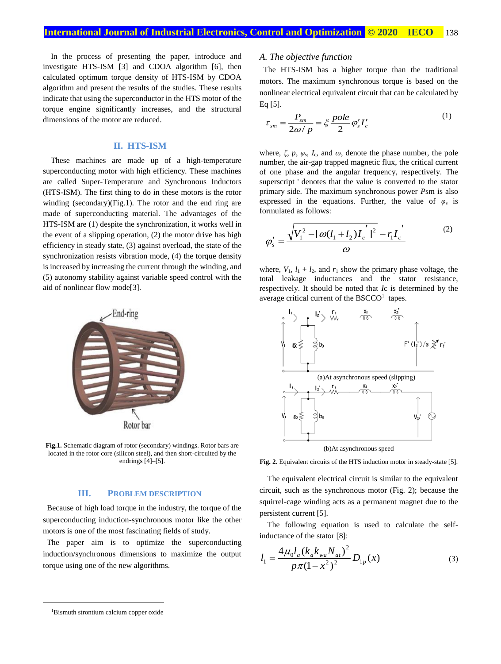In the process of presenting the paper, introduce and investigate HTS-ISM [3] and CDOA algorithm [6], then calculated optimum torque density of HTS-ISM by CDOA algorithm and present the results of the studies. These results indicate that using the superconductor in the HTS motor of the torque engine significantly increases, and the structural dimensions of the motor are reduced.

### **II. HTS-ISM**

These machines are made up of a high-temperature superconducting motor with high efficiency. These machines are called Super-Temperature and Synchronous Inductors (HTS-ISM). The first thing to do in these motors is the rotor winding (secondary)(Fig.1). The rotor and the end ring are made of superconducting material. The advantages of the HTS-ISM are (1) despite the synchronization, it works well in the event of a slipping operation, (2) the motor drive has high efficiency in steady state, (3) against overload, the state of the synchronization resists vibration mode, (4) the torque density is increased by increasing the current through the winding, and (5) autonomy stability against variable speed control with the aid of nonlinear flow mode[3].



**Fig.1.** Schematic diagram of rotor (secondary) windings. Rotor bars are located in the rotor core (silicon steel), and then short-circuited by the endrings [4]–[5].

### **III. PROBLEM DESCRIPTION**

Because of high load torque in the industry, the torque of the superconducting induction-synchronous motor like the other motors is one of the most fascinating fields of study.

The paper aim is to optimize the superconducting induction/synchronous dimensions to maximize the output torque using one of the new algorithms.

### *A. The objective function*

The HTS-ISM has a higher torque than the traditional motors. The maximum synchronous torque is based on the nonlinear electrical equivalent circuit that can be calculated by Eq [5].

$$
\tau_{sm} = \frac{P_{sm}}{2\omega/p} = \xi \frac{pole}{2} \varphi_s' I_c' \tag{1}
$$

where,  $\xi$ ,  $p$ ,  $\varphi$ <sub>s</sub>,  $I_c$ , and  $\omega$ , denote the phase number, the pole number, the air-gap trapped magnetic flux, the critical current of one phase and the angular frequency, respectively. The superscript ' denotes that the value is converted to the stator primary side. The maximum synchronous power *P*sm is also expressed in the equations. Further, the value of  $\varphi_s$  is formulated as follows:

$$
\varphi'_{s} = \frac{\sqrt{V_{1}^{2} - [\omega(l_{1} + l_{2})l_{c}^{'}]^{2}} - r_{1}l_{c}^{'}}{\omega}
$$
\n(2)

where,  $V_1$ ,  $l_1 + l_2$ , and  $r_1$  show the primary phase voltage, the total leakage inductances and the stator resistance, respectively. It should be noted that *I*c is determined by the average critical current of the  $BSCCO<sup>1</sup>$  tapes.



(b)At asynchronous speed

**Fig. 2.** Equivalent circuits of the HTS induction motor in steady-state [5].

The equivalent electrical circuit is similar to the equivalent circuit, such as the synchronous motor (Fig. 2); because the squirrel-cage winding acts as a permanent magnet due to the persistent current [5].

The following equation is used to calculate the selfinductance of the stator [8]:

$$
l_1 = \frac{4\mu_0 l_a (k_a k_{wa} N_{at})^2}{p\pi (1 - x^2)^2} D_{1p}(x)
$$
 (3)

1

<sup>1</sup>Bismuth strontium calcium copper oxide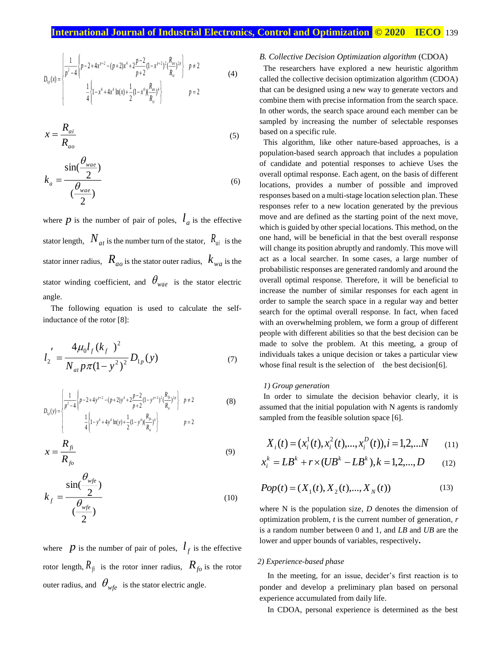$$
D_{1p}(x) = \begin{cases} \frac{1}{p^2 - 4} \left\{ p - 2 + 4x^{p+2} - (p+2)x^4 + 2\frac{p-2}{p+2} (1 - x^{p+2})^2 (\frac{R_{ao}}{R_{si}})^{2p} \right\} & p \neq 2\\ \frac{1}{4} \left\{ 1 - x^4 + 4x^4 \ln(x) + \frac{1}{2} (1 - x^4) (\frac{R_{ao}}{R_{si}})^4 \right\} & p = 2 \end{cases}
$$
(4)

$$
x = \frac{R_{ai}}{R_{ao}}
$$
 (5)

$$
k_a = \frac{\sin(\frac{\theta_{\text{wae}}}{2})}{(\frac{\theta_{\text{wae}}}{2})}
$$
(6)

where  $p$  is the number of pair of poles,  $l_a$  is the effective stator length,  $N_{at}$  is the number turn of the stator,  $R_{ai}$  is the stator inner radius,  $R_{a\sigma}$  is the stator outer radius,  $k_{wa}$  is the stator winding coefficient, and  $\theta_{wae}$  is the stator electric angle.

The following equation is used to calculate the selfinductance of the rotor [8]:

$$
l_2' = \frac{4\mu_0 l_f (k_f)^2}{N_{at} p \pi (1 - y^2)^2} D_{1p}(y)
$$
 (7)

$$
D_{1p}(y) = \begin{cases} \frac{1}{p^2 - 4} \left\{ p - 2 + 4y^{p+2} - (p+2)y^4 + 2\frac{p-2}{p+2}(1-y^{p+2})^2(\frac{R_p}{R_{si}})^{2p} \right\} & p \neq 2\\ \frac{1}{4} \left\{ 1 - y^4 + 4y^4 \ln(y) + \frac{1}{2}(1-y^4)(\frac{R_p}{R_{si}})^4 \right\} & p = 2 \end{cases}
$$
(8)

$$
x = \frac{R_{fi}}{R_{fo}} \tag{9}
$$

$$
k_f = \frac{\sin(\frac{\theta_{wfe}}{2})}{(\frac{\theta_{wfe}}{2})}
$$
(10)

where  $p$  is the number of pair of poles,  $l_f$  is the effective rotor length,  $R_{\hat{f}}$  is the rotor inner radius,  $R_{f0}$  is the rotor outer radius, and  $\theta_{wfe}$  is the stator electric angle.

### *B. Collective Decision Optimization algorithm* (CDOA)

The researchers have explored a new heuristic algorithm called the collective decision optimization algorithm (CDOA) that can be designed using a new way to generate vectors and combine them with precise information from the search space. In other words, the search space around each member can be sampled by increasing the number of selectable responses based on a specific rule.

This algorithm, like other nature-based approaches, is a population-based search approach that includes a population of candidate and potential responses to achieve Uses the overall optimal response. Each agent, on the basis of different locations, provides a number of possible and improved responses based on a multi-stage location selection plan. These responses refer to a new location generated by the previous move and are defined as the starting point of the next move, which is guided by other special locations. This method, on the one hand, will be beneficial in that the best overall response will change its position abruptly and randomly. This move will act as a local searcher. In some cases, a large number of probabilistic responses are generated randomly and around the overall optimal response. Therefore, it will be beneficial to increase the number of similar responses for each agent in order to sample the search space in a regular way and better search for the optimal overall response. In fact, when faced with an overwhelming problem, we form a group of different people with different abilities so that the best decision can be made to solve the problem. At this meeting, a group of individuals takes a unique decision or takes a particular view whose final result is the selection of the best decision  $[6]$ .

### *1) Group generation*

In order to simulate the decision behavior clearly, it is assumed that the initial population with N agents is randomly sampled from the feasible solution space [6].

$$
X_i(t) = (x_i^1(t), x_i^2(t), \dots, x_i^D(t)), i = 1, 2, \dots N \tag{11}
$$

$$
x_i^k = LB^k + r \times (UB^k - LB^k), k = 1, 2, ..., D \qquad (12)
$$

$$
Pop(t) = (X_1(t), X_2(t), ..., X_N(t))
$$
\n(13)

where N is the population size, *D* denotes the dimension of optimization problem, *t* is the current number of generation, *r* is a random number between 0 and 1, and *LB* and *UB* are the lower and upper bounds of variables, respectively**.**

### *2) Experience-based phase*

In the meeting, for an issue, decider's first reaction is to ponder and develop a preliminary plan based on personal experience accumulated from daily life.

In CDOA, personal experience is determined as the best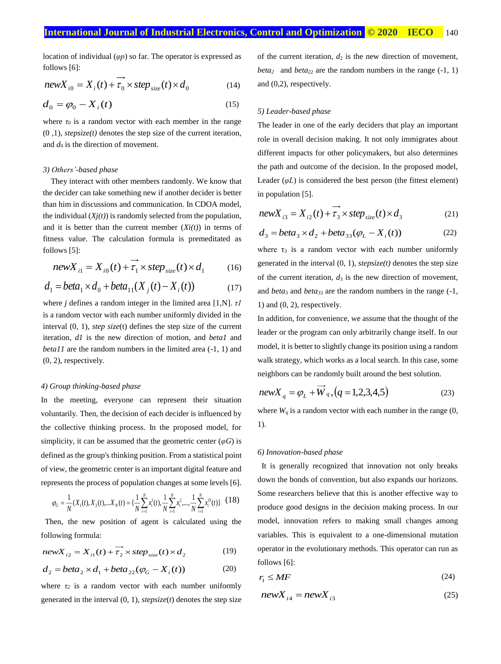location of individual (*φp*) so far. The operator is expressed as follows [6]:

$$
newX_{i0} = X_i(t) + \overline{\tau_0} \times step_{size}(t) \times d_0
$$
 (14)

$$
d_0 = \varphi_0 - X_i(t) \tag{15}
$$

where  $\tau_0$  is a random vector with each member in the range (0 ,1), *stepsize(t)* denotes the step size of the current iteration, and  $d_0$  is the direction of movement.

### *3) Others'-based phase*

They interact with other members randomly. We know that the decider can take something new if another decider is better than him in discussions and communication. In CDOA model, the individual  $(Xj(t))$  is randomly selected from the population, and it is better than the current member  $(Xi(t))$  in terms of fitness value. The calculation formula is premeditated as follows [5]:

$$
newX_{i1} = X_{i0}(t) + \overline{\tau_1} \times step_{size}(t) \times d_1 \qquad (16)
$$

$$
d_1 = beta_1 \times d_0 + beta_{11}(X_j(t) - X_i(t))
$$
 (17)

where *j* defines a random integer in the limited area [1,N]. *τ1* is a random vector with each number uniformly divided in the interval (0, 1), *step size*(t) defines the step size of the current iteration, *d1* is the new direction of motion, and *beta1* and *beta11* are the random numbers in the limited area (-1, 1) and (0, 2), respectively.

### *4) Group thinking-based phase*

In the meeting, everyone can represent their situation voluntarily. Then, the decision of each decider is influenced by the collective thinking process. In the proposed model, for simplicity, it can be assumed that the geometric center  $(\varphi G)$  is defined as the group's thinking position. From a statistical point of view, the geometric center is an important digital feature and represents the process of population changes at some levels [6].

$$
\varphi_G = \frac{1}{N}(X_1(t), X_2(t), \dots, X_N(t)) = \{\frac{1}{N} \sum_{i=1}^N x_i^1(t), \frac{1}{N} \sum_{i=1}^N x_i^2, \dots, \frac{1}{N} \sum_{i=1}^N x_i^D(t)\} (18)
$$

Then, the new position of agent is calculated using the following formula:

$$
newX_{i2} = X_{i1}(t) + \overline{\tau_2} \times step_{size}(t) \times d_2
$$
 (19)

$$
d_2 = beta_2 \times d_1 + beta_{22}(\varphi_G - X_i(t))
$$
 (20)

where  $\tau_2$  is a random vector with each number uniformly generated in the interval  $(0, 1)$ , *stepsize* $(t)$  denotes the step size

of the current iteration,  $d_2$  is the new direction of movement, *beta*<sub>2</sub> and *beta*<sub>22</sub> are the random numbers in the range  $(-1, 1)$ and (0,2), respectively.

### *5) Leader-based phase*

The leader in one of the early deciders that play an important role in overall decision making. It not only immigrates about different impacts for other policymakers, but also determines the path and outcome of the decision. In the proposed model, Leader  $(\varphi L)$  is considered the best person (the fittest element) in population [5].

$$
newX_{i3} = X_{i2}(t) + \overrightarrow{\tau_3} \times step_{size}(t) \times d_3
$$
 (21)

$$
d_3 = beta_3 \times d_2 + beta_{33}(\varphi_L - X_i(t))
$$
 (22)

where  $\tau_3$  is a random vector with each number uniformly generated in the interval (0, 1), *stepsize(t)* denotes the step size of the current iteration,  $d_3$  is the new direction of movement, and *beta*<sub>3</sub> and *beta*<sub>33</sub> are the random numbers in the range (-1, 1) and  $(0, 2)$ , respectively.

In addition, for convenience, we assume that the thought of the leader or the program can only arbitrarily change itself. In our model, it is better to slightly change its position using a random walk strategy, which works as a local search. In this case, some neighbors can be randomly built around the best solution.

$$
newX_{q} = \varphi_{L} + \overline{W}_{q}, (q = 1, 2, 3, 4, 5)
$$
\n(23)

where  $W_q$  is a random vector with each number in the range  $(0, 0)$ 1).

### *6) Innovation-based phase*

It is generally recognized that innovation not only breaks down the bonds of convention, but also expands our horizons. Some researchers believe that this is another effective way to produce good designs in the decision making process. In our model, innovation refers to making small changes among variables. This is equivalent to a one-dimensional mutation operator in the evolutionary methods. This operator can run as follows [6]:

$$
r_1 \le MF \tag{24}
$$

$$
newX_{i4} = newX_{i3} \tag{25}
$$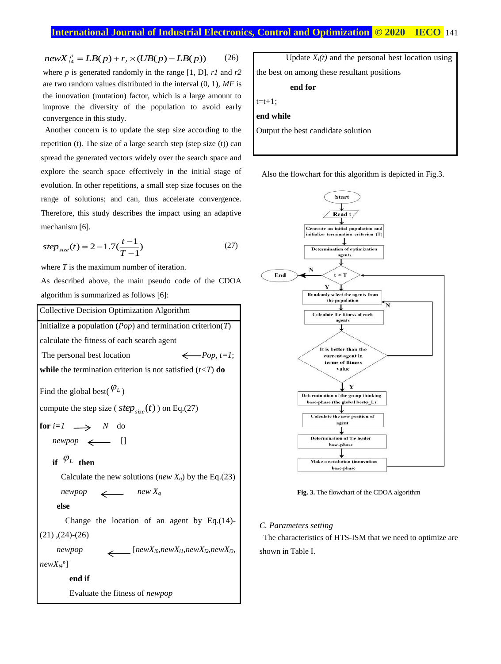```
newX_{i4}^p = LB(p) + r_2 \times (UB(p) - LB(p)) (26)
where p is generated randomly in the range [1, D], r1 and r2
are two random values distributed in the interval (0, 1), MF is 
the innovation (mutation) factor, which is a large amount to 
improve the diversity of the population to avoid early 
convergence in this study.
```
Another concern is to update the step size according to the repetition (t). The size of a large search step (step size (t)) can spread the generated vectors widely over the search space and explore the search space effectively in the initial stage of evolution. In other repetitions, a small step size focuses on the range of solutions; and can, thus accelerate convergence. Therefore, this study describes the impact using an adaptive mechanism [6].

$$
step_{size}(t) = 2 - 1.7(\frac{t-1}{T-1})
$$
\n(27)

where *T* is the maximum number of iteration.

As described above, the main pseudo code of the CDOA algorithm is summarized as follows [6]:



Update  $X_i(t)$  and the personal best location using the best on among these resultant positions **end for**  $t=t+1$ ; **end while** Output the best candidate solution

Also the flowchart for this algorithm is depicted in Fig.3.



**Fig. 3.** The flowchart of the CDOA algorithm

### *C. Parameters setting*

The characteristics of HTS-ISM that we need to optimize are shown in Table I.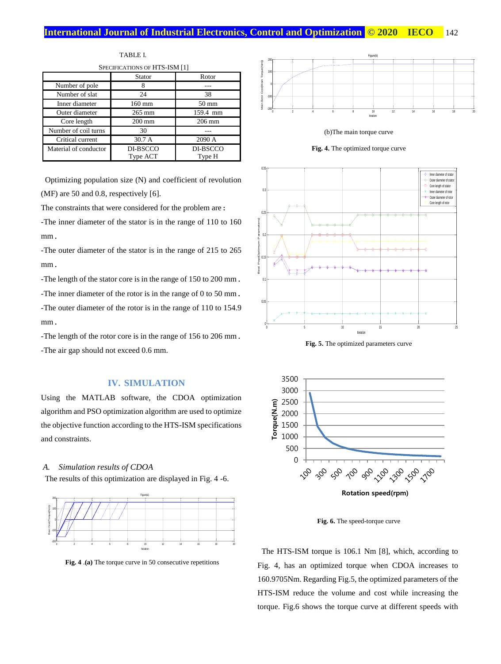#### **International Journal of Industrial Electronics, Control and Optimization © 2020 HECO** 142 0 2 4 6 8 10 12 14 16 18 20

Best Cost(Torque(Nm))

| SPECIFICATIONS OF HTS-ISM [1] |                  |                  |
|-------------------------------|------------------|------------------|
|                               | <b>Stator</b>    | Rotor            |
| Number of pole                | 8                |                  |
| Number of slat                | 24               | 38               |
| Inner diameter                | $160$ mm         | $50 \text{ mm}$  |
| Outer diameter                | $265$ mm         | 159.4 mm         |
| Core length                   | $200 \text{ mm}$ | $206 \text{ mm}$ |
| Number of coil turns          | 30               |                  |
| Critical current              | 30.7A            | 2090 A           |
| Material of conductor         | DI-BSCCO         | DI-BSCCO         |
|                               | Type ACT         | Type H           |

TABLE I.

Optimizing population size (N) and coefficient of revolution (MF) are 50 and 0.8, respectively [6].

The constraints that were considered for the problem are:

-The inner diameter of the stator is in the range of 110 to 160 mm.

-The outer diameter of the stator is in the range of 215 to 265 mm.

-The length of the stator core is in the range of 150 to 200 mm.

-The inner diameter of the rotor is in the range of 0 to 50 mm.

-The outer diameter of the rotor is in the range of 110 to 154.9 mm.

-The length of the rotor core is in the range of 156 to 206 mm. -The air gap should not exceed 0.6 mm.

### **IV. SIMULATION**

Using the MATLAB software, the CDOA optimization algorithm and PSO optimization algorithm are used to optimize the objective function according to the HTS-ISM specifications and constraints.

### *A. Simulation results of CDOA*

The results of this optimization are displayed in Fig. 4 -6.



Fig.  $4 \cdot (a)$  The torque curve in 50 consecutive repetitions  $\frac{1}{\sqrt{2}}$ 









**Fig. 5.** The optimized parameters curve



**Fig. 6.** The speed-torque curve

The HTS-ISM torque is 106.1 Nm [8], which, according to Fig. 4, has an optimized torque when CDOA increases to 160.9705Nm. Regarding Fig.5, the optimized parameters of the HTS-ISM reduce the volume and cost while increasing the torque. Fig.6 shows the torque curve at different speeds with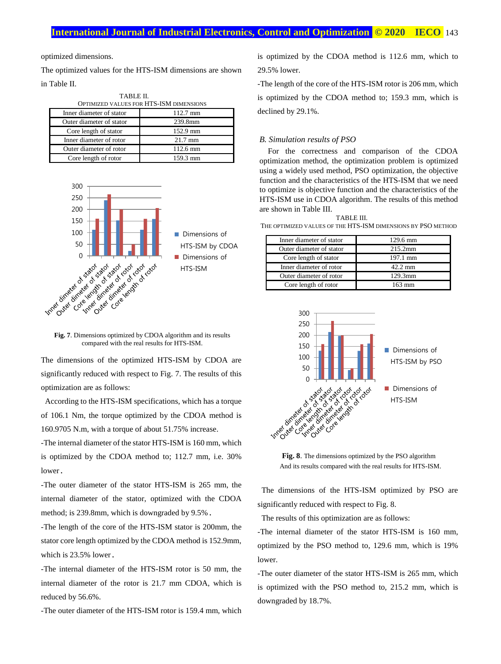### **International Journal of Industrial Electronics, Control and Optimization .© 2020 IECO.** 143

optimized dimensions.

The optimized values for the HTS-ISM dimensions are shown in Table II.

TABLE II.

| OPTIMIZED VALUES FOR HTS-ISM DIMENSIONS |                    |  |
|-----------------------------------------|--------------------|--|
| Inner diameter of stator                | $112.7 \text{ mm}$ |  |
| Outer diameter of stator                | 239.8mm            |  |
| Core length of stator                   | 152.9 mm           |  |
| Inner diameter of rotor                 | $21.7 \text{ mm}$  |  |
| Outer diameter of rotor                 | $112.6 \text{ mm}$ |  |
| Core length of rotor                    | 159.3 mm           |  |



**Fig. 7**. Dimensions optimized by CDOA algorithm and its results compared with the real results for HTS-ISM.

The dimensions of the optimized HTS-ISM by CDOA are significantly reduced with respect to Fig. 7. The results of this optimization are as follows:

According to the HTS-ISM specifications, which has a torque of 106.1 Nm, the torque optimized by the CDOA method is 160.9705 N.m, with a torque of about 51.75% increase.

-The internal diameter of the stator HTS-ISM is 160 mm, which is optimized by the CDOA method to; 112.7 mm, i.e. 30% lower.

-The outer diameter of the stator HTS-ISM is 265 mm, the internal diameter of the stator, optimized with the CDOA method; is 239.8mm, which is downgraded by 9.5%.

-The length of the core of the HTS-ISM stator is 200mm, the stator core length optimized by the CDOA method is 152.9mm, which is 23.5% lower.

-The internal diameter of the HTS-ISM rotor is 50 mm, the internal diameter of the rotor is 21.7 mm CDOA, which is reduced by 56.6%.

-The outer diameter of the HTS-ISM rotor is 159.4 mm, which

is optimized by the CDOA method is 112.6 mm, which to 29.5% lower.

-The length of the core of the HTS-ISM rotor is 206 mm, which is optimized by the CDOA method to; 159.3 mm, which is declined by 29.1%.

### *B. Simulation results of PSO*

For the correctness and comparison of the CDOA optimization method, the optimization problem is optimized using a widely used method, PSO optimization, the objective function and the characteristics of the HTS-ISM that we need to optimize is objective function and the characteristics of the HTS-ISM use in CDOA algorithm. The results of this method are shown in Table III.

### TABLE III.

THE OPTIMIZED VALUES OF THE HTS-ISM DIMENSIONS BY PSO METHOD

| Inner diameter of stator | 129.6 mm          |
|--------------------------|-------------------|
| Outer diameter of stator | $215.2$ mm        |
| Core length of stator    | 197.1 mm          |
| Inner diameter of rotor  | $42.2 \text{ mm}$ |
| Outer diameter of rotor  | 129.3mm           |
| Core length of rotor     | $163 \text{ mm}$  |



**Fig. 8**. The dimensions optimized by the PSO algorithm And its results compared with the real results for HTS-ISM.

The dimensions of the HTS-ISM optimized by PSO are significantly reduced with respect to Fig. 8.

The results of this optimization are as follows:

-The internal diameter of the stator HTS-ISM is 160 mm, optimized by the PSO method to, 129.6 mm, which is 19% lower.

-The outer diameter of the stator HTS-ISM is 265 mm, which is optimized with the PSO method to, 215.2 mm, which is downgraded by 18.7%.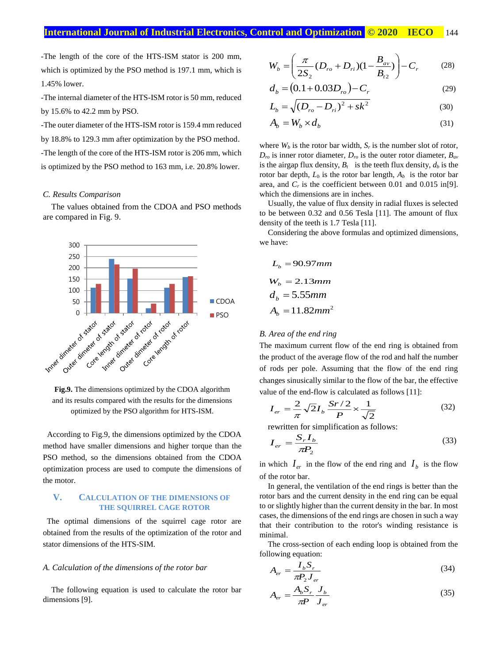-The length of the core of the HTS-ISM stator is 200 mm, which is optimized by the PSO method is 197.1 mm, which is 1.45% lower.

-The internal diameter of the HTS-ISM rotor is 50 mm, reduced by 15.6% to 42.2 mm by PSO.

-The outer diameter of the HTS-ISM rotor is 159.4 mm reduced by 18.8% to 129.3 mm after optimization by the PSO method. -The length of the core of the HTS-ISM rotor is 206 mm, which is optimized by the PSO method to 163 mm, i.e. 20.8% lower.

### *C. Results Comparison*

The values obtained from the CDOA and PSO methods are compared in Fig. 9.



**Fig.9.** The dimensions optimized by the CDOA algorithm and its results compared with the results for the dimensions optimized by the PSO algorithm for HTS-ISM.

According to Fig.9, the dimensions optimized by the CDOA method have smaller dimensions and higher torque than the PSO method, so the dimensions obtained from the CDOA optimization process are used to compute the dimensions of the motor.

### **V. CALCULATION OF THE DIMENSIONS OF THE SQUIRREL CAGE ROTOR**

The optimal dimensions of the squirrel cage rotor are obtained from the results of the optimization of the rotor and stator dimensions of the HTS-SIM.

### *A. Calculation of the dimensions of the rotor bar*

The following equation is used to calculate the rotor bar dimensions [9].

$$
W_b = \left(\frac{\pi}{2S_2}(D_{ro} + D_{ri})(1 - \frac{B_{av}}{B_{i2}})\right) - C_r
$$
 (28)

$$
d_b = (0.1 + 0.03D_{ro}) - C_r
$$
 (29)

$$
L_b = \sqrt{(D_{ro} - D_{ri})^2 + sk^2}
$$
 (30)

$$
A_b = W_b \times d_b \tag{31}
$$

where  $W_b$  is the rotor bar width,  $S_r$  is the number slot of rotor,  $D_{ro}$  is inner rotor diameter,  $D_{ro}$  is the outer rotor diameter,  $B_{av}$ is the airgap flux density,  $B_t$  is the teeth flux density,  $d_b$  is the rotor bar depth,  $L_b$  is the rotor bar length,  $A_b$  is the rotor bar area, and  $C_r$  is the coefficient between 0.01 and 0.015 in[9]. which the dimensions are in inches.

Usually, the value of flux density in radial fluxes is selected to be between 0.32 and 0.56 Tesla [11]. The amount of flux density of the teeth is 1.7 Tesla [11].

Considering the above formulas and optimized dimensions, we have:

$$
L_b = 90.97 \, mm
$$
\n
$$
W_b = 2.13 \, mm
$$
\n
$$
d_b = 5.55 \, mm
$$
\n
$$
A_b = 11.82 \, mm^2
$$

### *B. Area of the end ring*

The maximum current flow of the end ring is obtained from the product of the average flow of the rod and half the number of rods per pole. Assuming that the flow of the end ring changes sinusically similar to the flow of the bar, the effective value of the end-flow is calculated as follows [11]:

$$
I_{er} = \frac{2}{\pi} \sqrt{2} I_b \frac{Sr/2}{P} \times \frac{1}{\sqrt{2}}
$$
 (32)

rewritten for simplification as follows:

$$
I_{er} = \frac{S_r I_b}{\pi P_2} \tag{33}
$$

in which  $I_{er}$  in the flow of the end ring and  $I_b$  is the flow of the rotor bar.

In general, the ventilation of the end rings is better than the rotor bars and the current density in the end ring can be equal to or slightly higher than the current density in the bar. In most cases, the dimensions of the end rings are chosen in such a way that their contribution to the rotor's winding resistance is minimal.

The cross-section of each ending loop is obtained from the following equation:

$$
A_{er} = \frac{I_b S_r}{\pi P_2 J_{er}}\tag{34}
$$

$$
A_{er} = \frac{A_b S_r}{\pi P} \frac{J_b}{J_{er}} \tag{35}
$$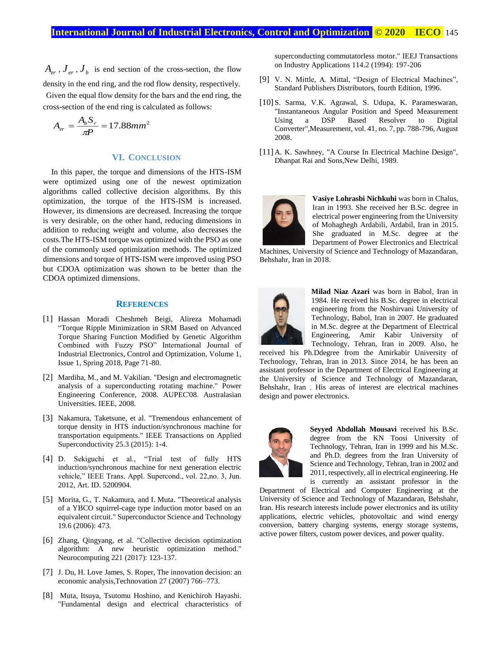$A_{er}$ ,  $J_{er}$ ,  $J_{b}$  is end section of the cross-section, the flow density in the end ring, and the rod flow density, respectively. Given the equal flow density for the bars and the end ring, the cross-section of the end ring is calculated as follows:

$$
A_{er} = \frac{A_b S_r}{\pi P} = 17.88 \text{mm}^2
$$

### **VI. CONCLUSION**

In this paper, the torque and dimensions of the HTS-ISM were optimized using one of the newest optimization algorithms called collective decision algorithms. By this optimization, the torque of the HTS-ISM is increased. However, its dimensions are decreased. Increasing the torque is very desirable, on the other hand, reducing dimensions in addition to reducing weight and volume, also decreases the costs.The HTS-ISM torque was optimized with the PSO as one of the commonly used optimization methods. The optimized dimensions and torque of HTS-ISM were improved using PSO but CDOA optimization was shown to be better than the CDOA optimized dimensions.

### **REFERENCES**

- [1] Hassan Moradi Cheshmeh Beigi, Alireza Mohamadi "Torque Ripple Minimization in SRM Based on Advanced Torque Sharing Function Modified by Genetic Algorithm Combined with Fuzzy PSO" International Journal of Industrial Electronics, Control and Optimization, Volume 1, Issue 1, Spring 2018, Page 71-80.
- [2] Mardiha, M., and M. Vakilian. "Design and electromagnetic analysis of a superconducting rotating machine." Power Engineering Conference, 2008. AUPEC'08. Australasian Universities. IEEE, 2008.
- [3] Nakamura, Taketsune, et al. "Tremendous enhancement of torque density in HTS induction/synchronous machine for transportation equipments." IEEE Transactions on Applied Superconductivity 25.3 (2015): 1-4.
- [4] D. Sekiguchi et al., "Trial test of fully HTS induction/synchronous machine for next generation electric vehicle," IEEE Trans. Appl. Supercond., vol. 22,no. 3, Jun. 2012, Art. ID. 5200904.
- [5] Morita, G., T. Nakamura, and I. Muta. "Theoretical analysis of a YBCO squirrel-cage type induction motor based on an equivalent circuit." Superconductor Science and Technology 19.6 (2006): 473.
- [6] Zhang, Qingyang, et al. "Collective decision optimization algorithm: A new heuristic optimization method." Neurocomputing 221 (2017): 123-137.
- [7] J. Du, H. Love James, S. Roper, The innovation decision: an economic analysis,Technovation 27 (2007) 766–773.
- [8] Muta, Itsuya, Tsutomu Hoshino, and Kenichiroh Hayashi. "Fundamental design and electrical characteristics of

superconducting commutatorless motor." IEEJ Transactions on Industry Applications 114.2 (1994): 197-206

- [9] V. N. Mittle, A. Mittal, "Design of Electrical Machines", Standard Publishers Distributors, fourth Edition, 1996.
- [10] S. Sarma, V.K. Agrawal, S. Udupa, K. Parameswaran, "Instantaneous Angular Position and Speed Measurement Using a DSP Based Resolver to Digital Converter",Measurement, vol. 41, no. 7, pp. 788-796, August 2008.
- [11] A. K. Sawhney, "A Course In Electrical Machine Design", Dhanpat Rai and Sons,New Delhi, 1989.



**Vasiye Lohrasbi Nichkuhi** was born in Chalus, Iran in 1993. She received her B.Sc. degree in electrical power engineering from the University of Mohaghegh Ardabili, Ardabil, Iran in 2015. She graduated in M.Sc. degree at the Department of Power Electronics and Electrical

Machines, University of Science and Technology of Mazandaran, Behshahr, Iran in 2018.



**Milad Niaz Azari** was born in Babol, Iran in 1984. He received his B.Sc. degree in electrical engineering from the Noshirvani University of Technology, Babol, Iran in 2007. He graduated in M.Sc. degree at the Department of Electrical Engineering, Amir Kabir University of Technology, Tehran, Iran in 2009. Also, he

received his Ph.Ddegree from the Amirkabir University of Technology, Tehran, Iran in 2013. Since 2014, he has been an assistant professor in the Department of Electrical Engineering at the University of Science and Technology of Mazandaran, Behshahr, Iran . His areas of interest are electrical machines design and power electronics.



**Seyyed Abdollah Mousavi** received his B.Sc. degree from the KN Toosi University of Technology, Tehran, Iran in 1999 and his M.Sc. and Ph.D. degrees from the Iran University of Science and Technology, Tehran, Iran in 2002 and 2011, respectively, all in electrical engineering. He is currently an assistant professor in the

Department of Electrical and Computer Engineering at the University of Science and Technology of Mazandaran, Behshahr, Iran. His research interests include power electronics and its utility applications, electric vehicles, photovoltaic and wind energy conversion, battery charging systems, energy storage systems, active power filters, custom power devices, and power quality.